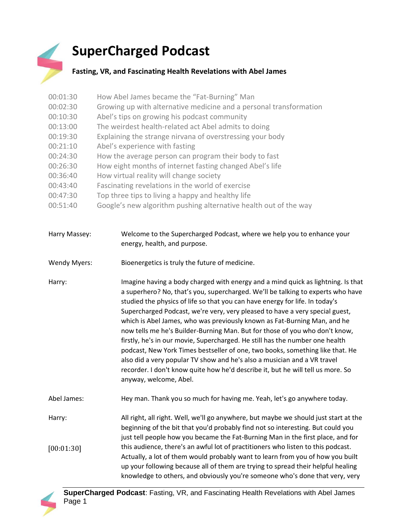## **SuperCharged Podcast**

## **Fasting, VR, and Fascinating Health Revelations with Abel James**

| 00:01:30 | How Abel James became the "Fat-Burning" Man                        |
|----------|--------------------------------------------------------------------|
| 00:02:30 | Growing up with alternative medicine and a personal transformation |
| 00:10:30 | Abel's tips on growing his podcast community                       |
| 00:13:00 | The weirdest health-related act Abel admits to doing               |
| 00:19:30 | Explaining the strange nirvana of overstressing your body          |
| 00:21:10 | Abel's experience with fasting                                     |
| 00:24:30 | How the average person can program their body to fast              |
| 00:26:30 | How eight months of internet fasting changed Abel's life           |
| 00:36:40 | How virtual reality will change society                            |
| 00:43:40 | Fascinating revelations in the world of exercise                   |
| 00:47:30 | Top three tips to living a happy and healthy life                  |
| 00:51:40 | Google's new algorithm pushing alternative health out of the way   |

| Harry Massey: | Welcome to the Supercharged Podcast, where we help you to enhance your |
|---------------|------------------------------------------------------------------------|
|               | energy, health, and purpose.                                           |

Wendy Myers: Bioenergetics is truly the future of medicine.

Harry: Imagine having a body charged with energy and a mind quick as lightning. Is that a superhero? No, that's you, supercharged. We'll be talking to experts who have studied the physics of life so that you can have energy for life. In today's Supercharged Podcast, we're very, very pleased to have a very special guest, which is Abel James, who was previously known as Fat-Burning Man, and he now tells me he's Builder-Burning Man. But for those of you who don't know, firstly, he's in our movie, Supercharged. He still has the number one health podcast, New York Times bestseller of one, two books, something like that. He also did a very popular TV show and he's also a musician and a VR travel recorder. I don't know quite how he'd describe it, but he will tell us more. So anyway, welcome, Abel.

Abel James: Hey man. Thank you so much for having me. Yeah, let's go anywhere today.

Harry: All right, all right. Well, we'll go anywhere, but maybe we should just start at the beginning of the bit that you'd probably find not so interesting. But could you just tell people how you became the Fat-Burning Man in the first place, and for this audience, there's an awful lot of practitioners who listen to this podcast. Actually, a lot of them would probably want to learn from you of how you built up your following because all of them are trying to spread their helpful healing knowledge to others, and obviously you're someone who's done that very, very [00:01:30]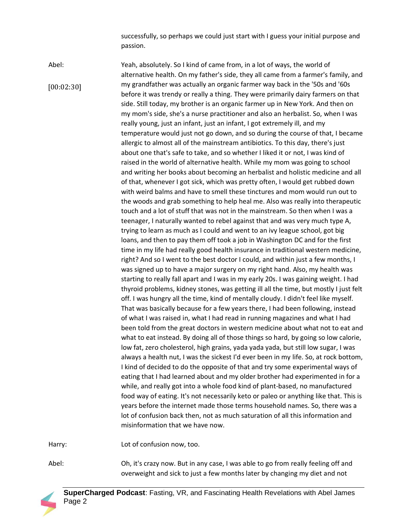successfully, so perhaps we could just start with I guess your initial purpose and passion.

Abel: Yeah, absolutely. So I kind of came from, in a lot of ways, the world of alternative health. On my father's side, they all came from a farmer's family, and my grandfather was actually an organic farmer way back in the '50s and '60s before it was trendy or really a thing. They were primarily dairy farmers on that side. Still today, my brother is an organic farmer up in New York. And then on my mom's side, she's a nurse practitioner and also an herbalist. So, when I was really young, just an infant, just an infant, I got extremely ill, and my temperature would just not go down, and so during the course of that, I became allergic to almost all of the mainstream antibiotics. To this day, there's just about one that's safe to take, and so whether I liked it or not, I was kind of raised in the world of alternative health. While my mom was going to school and writing her books about becoming an herbalist and holistic medicine and all of that, whenever I got sick, which was pretty often, I would get rubbed down with weird balms and have to smell these tinctures and mom would run out to the woods and grab something to help heal me. Also was really into therapeutic touch and a lot of stuff that was not in the mainstream. So then when I was a teenager, I naturally wanted to rebel against that and was very much type A, trying to learn as much as I could and went to an ivy league school, got big loans, and then to pay them off took a job in Washington DC and for the first time in my life had really good health insurance in traditional western medicine, right? And so I went to the best doctor I could, and within just a few months, I was signed up to have a major surgery on my right hand. Also, my health was starting to really fall apart and I was in my early 20s. I was gaining weight. I had thyroid problems, kidney stones, was getting ill all the time, but mostly I just felt off. I was hungry all the time, kind of mentally cloudy. I didn't feel like myself. That was basically because for a few years there, I had been following, instead of what I was raised in, what I had read in running magazines and what I had been told from the great doctors in western medicine about what not to eat and what to eat instead. By doing all of those things so hard, by going so low calorie, low fat, zero cholesterol, high grains, yada yada yada, but still low sugar, I was always a health nut, I was the sickest I'd ever been in my life. So, at rock bottom, I kind of decided to do the opposite of that and try some experimental ways of eating that I had learned about and my older brother had experimented in for a while, and really got into a whole food kind of plant-based, no manufactured food way of eating. It's not necessarily keto or paleo or anything like that. This is years before the internet made those terms household names. So, there was a lot of confusion back then, not as much saturation of all this information and misinformation that we have now. [00:02:30]

Harry: Lot of confusion now, too.

Abel: Oh, it's crazy now. But in any case, I was able to go from really feeling off and overweight and sick to just a few months later by changing my diet and not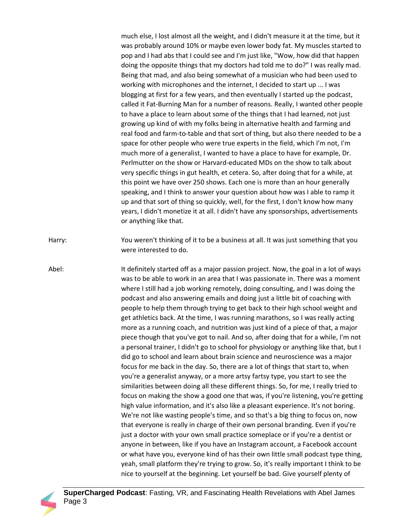much else, I lost almost all the weight, and I didn't measure it at the time, but it was probably around 10% or maybe even lower body fat. My muscles started to pop and I had abs that I could see and I'm just like, "Wow, how did that happen doing the opposite things that my doctors had told me to do?" I was really mad. Being that mad, and also being somewhat of a musician who had been used to working with microphones and the internet, I decided to start up ... I was blogging at first for a few years, and then eventually I started up the podcast, called it Fat-Burning Man for a number of reasons. Really, I wanted other people to have a place to learn about some of the things that I had learned, not just growing up kind of with my folks being in alternative health and farming and real food and farm-to-table and that sort of thing, but also there needed to be a space for other people who were true experts in the field, which I'm not, I'm much more of a generalist, I wanted to have a place to have for example, Dr. Perlmutter on the show or Harvard-educated MDs on the show to talk about very specific things in gut health, et cetera. So, after doing that for a while, at this point we have over 250 shows. Each one is more than an hour generally speaking, and I think to answer your question about how was I able to ramp it up and that sort of thing so quickly, well, for the first, I don't know how many years, I didn't monetize it at all. I didn't have any sponsorships, advertisements or anything like that.

Harry: You weren't thinking of it to be a business at all. It was just something that you were interested to do.

Abel: It definitely started off as a major passion project. Now, the goal in a lot of ways was to be able to work in an area that I was passionate in. There was a moment where I still had a job working remotely, doing consulting, and I was doing the podcast and also answering emails and doing just a little bit of coaching with people to help them through trying to get back to their high school weight and get athletics back. At the time, I was running marathons, so I was really acting more as a running coach, and nutrition was just kind of a piece of that, a major piece though that you've got to nail. And so, after doing that for a while, I'm not a personal trainer, I didn't go to school for physiology or anything like that, but I did go to school and learn about brain science and neuroscience was a major focus for me back in the day. So, there are a lot of things that start to, when you're a generalist anyway, or a more artsy fartsy type, you start to see the similarities between doing all these different things. So, for me, I really tried to focus on making the show a good one that was, if you're listening, you're getting high value information, and it's also like a pleasant experience. It's not boring. We're not like wasting people's time, and so that's a big thing to focus on, now that everyone is really in charge of their own personal branding. Even if you're just a doctor with your own small practice someplace or if you're a dentist or anyone in between, like if you have an Instagram account, a Facebook account or what have you, everyone kind of has their own little small podcast type thing, yeah, small platform they're trying to grow. So, it's really important I think to be nice to yourself at the beginning. Let yourself be bad. Give yourself plenty of

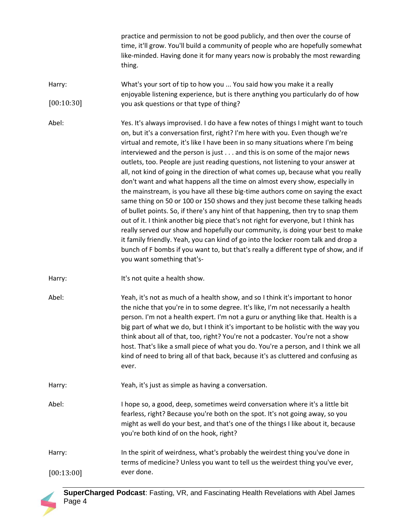practice and permission to not be good publicly, and then over the course of time, it'll grow. You'll build a community of people who are hopefully somewhat like-minded. Having done it for many years now is probably the most rewarding thing.

Harry: What's your sort of tip to how you ... You said how you make it a really enjoyable listening experience, but is there anything you particularly do of how you ask questions or that type of thing? [00:10:30]

Abel: Yes. It's always improvised. I do have a few notes of things I might want to touch on, but it's a conversation first, right? I'm here with you. Even though we're virtual and remote, it's like I have been in so many situations where I'm being interviewed and the person is just . . . and this is on some of the major news outlets, too. People are just reading questions, not listening to your answer at all, not kind of going in the direction of what comes up, because what you really don't want and what happens all the time on almost every show, especially in the mainstream, is you have all these big-time authors come on saying the exact same thing on 50 or 100 or 150 shows and they just become these talking heads of bullet points. So, if there's any hint of that happening, then try to snap them out of it. I think another big piece that's not right for everyone, but I think has really served our show and hopefully our community, is doing your best to make it family friendly. Yeah, you can kind of go into the locker room talk and drop a bunch of F bombs if you want to, but that's really a different type of show, and if you want something that's-

- Harry: It's not quite a health show.
- Abel: Yeah, it's not as much of a health show, and so I think it's important to honor the niche that you're in to some degree. It's like, I'm not necessarily a health person. I'm not a health expert. I'm not a guru or anything like that. Health is a big part of what we do, but I think it's important to be holistic with the way you think about all of that, too, right? You're not a podcaster. You're not a show host. That's like a small piece of what you do. You're a person, and I think we all kind of need to bring all of that back, because it's as cluttered and confusing as ever.
- Harry: Yeah, it's just as simple as having a conversation.
- Abel: I hope so, a good, deep, sometimes weird conversation where it's a little bit fearless, right? Because you're both on the spot. It's not going away, so you might as well do your best, and that's one of the things I like about it, because you're both kind of on the hook, right?

Harry: In the spirit of weirdness, what's probably the weirdest thing you've done in terms of medicine? Unless you want to tell us the weirdest thing you've ever,  $[00:13:00]$  ever done.

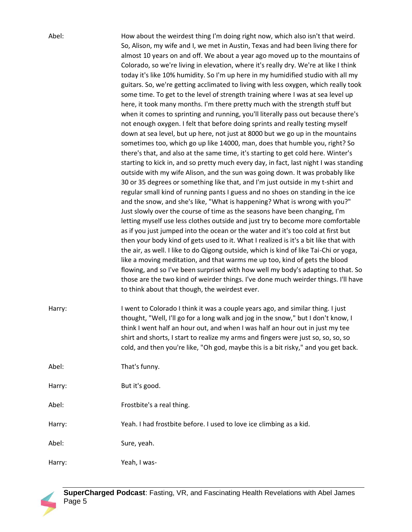| Abel:  | How about the weirdest thing I'm doing right now, which also isn't that weird.                                                                                                                                                                                                                                                                                                                                                                                                                                                                                                                                                                                                                                                                                                                                                                                                                                                                                                                                                                                                                                                                                                                                                                                                                                                                                                                                                                                                                                                                                                                                                                                                                                                                                                                                                                                                                                                                                                                                                                                                                                                                                 |
|--------|----------------------------------------------------------------------------------------------------------------------------------------------------------------------------------------------------------------------------------------------------------------------------------------------------------------------------------------------------------------------------------------------------------------------------------------------------------------------------------------------------------------------------------------------------------------------------------------------------------------------------------------------------------------------------------------------------------------------------------------------------------------------------------------------------------------------------------------------------------------------------------------------------------------------------------------------------------------------------------------------------------------------------------------------------------------------------------------------------------------------------------------------------------------------------------------------------------------------------------------------------------------------------------------------------------------------------------------------------------------------------------------------------------------------------------------------------------------------------------------------------------------------------------------------------------------------------------------------------------------------------------------------------------------------------------------------------------------------------------------------------------------------------------------------------------------------------------------------------------------------------------------------------------------------------------------------------------------------------------------------------------------------------------------------------------------------------------------------------------------------------------------------------------------|
|        | So, Alison, my wife and I, we met in Austin, Texas and had been living there for<br>almost 10 years on and off. We about a year ago moved up to the mountains of<br>Colorado, so we're living in elevation, where it's really dry. We're at like I think<br>today it's like 10% humidity. So I'm up here in my humidified studio with all my<br>guitars. So, we're getting acclimated to living with less oxygen, which really took<br>some time. To get to the level of strength training where I was at sea level up<br>here, it took many months. I'm there pretty much with the strength stuff but<br>when it comes to sprinting and running, you'll literally pass out because there's<br>not enough oxygen. I felt that before doing sprints and really testing myself<br>down at sea level, but up here, not just at 8000 but we go up in the mountains<br>sometimes too, which go up like 14000, man, does that humble you, right? So<br>there's that, and also at the same time, it's starting to get cold here. Winter's<br>starting to kick in, and so pretty much every day, in fact, last night I was standing<br>outside with my wife Alison, and the sun was going down. It was probably like<br>30 or 35 degrees or something like that, and I'm just outside in my t-shirt and<br>regular small kind of running pants I guess and no shoes on standing in the ice<br>and the snow, and she's like, "What is happening? What is wrong with you?"<br>Just slowly over the course of time as the seasons have been changing, I'm<br>letting myself use less clothes outside and just try to become more comfortable<br>as if you just jumped into the ocean or the water and it's too cold at first but<br>then your body kind of gets used to it. What I realized is it's a bit like that with<br>the air, as well. I like to do Qigong outside, which is kind of like Tai-Chi or yoga,<br>like a moving meditation, and that warms me up too, kind of gets the blood<br>flowing, and so I've been surprised with how well my body's adapting to that. So<br>those are the two kind of weirder things. I've done much weirder things. I'll have |
|        | to think about that though, the weirdest ever.                                                                                                                                                                                                                                                                                                                                                                                                                                                                                                                                                                                                                                                                                                                                                                                                                                                                                                                                                                                                                                                                                                                                                                                                                                                                                                                                                                                                                                                                                                                                                                                                                                                                                                                                                                                                                                                                                                                                                                                                                                                                                                                 |
| Harry: | I went to Colorado I think it was a couple years ago, and similar thing. I just<br>thought, "Well, I'll go for a long walk and jog in the snow," but I don't know, I<br>think I went half an hour out, and when I was half an hour out in just my tee<br>shirt and shorts, I start to realize my arms and fingers were just so, so, so, so<br>cold, and then you're like, "Oh god, maybe this is a bit risky," and you get back.                                                                                                                                                                                                                                                                                                                                                                                                                                                                                                                                                                                                                                                                                                                                                                                                                                                                                                                                                                                                                                                                                                                                                                                                                                                                                                                                                                                                                                                                                                                                                                                                                                                                                                                               |
| Abel:  | That's funny.                                                                                                                                                                                                                                                                                                                                                                                                                                                                                                                                                                                                                                                                                                                                                                                                                                                                                                                                                                                                                                                                                                                                                                                                                                                                                                                                                                                                                                                                                                                                                                                                                                                                                                                                                                                                                                                                                                                                                                                                                                                                                                                                                  |
| Harry: | But it's good.                                                                                                                                                                                                                                                                                                                                                                                                                                                                                                                                                                                                                                                                                                                                                                                                                                                                                                                                                                                                                                                                                                                                                                                                                                                                                                                                                                                                                                                                                                                                                                                                                                                                                                                                                                                                                                                                                                                                                                                                                                                                                                                                                 |
| Abel:  | Frostbite's a real thing.                                                                                                                                                                                                                                                                                                                                                                                                                                                                                                                                                                                                                                                                                                                                                                                                                                                                                                                                                                                                                                                                                                                                                                                                                                                                                                                                                                                                                                                                                                                                                                                                                                                                                                                                                                                                                                                                                                                                                                                                                                                                                                                                      |
| Harry: | Yeah. I had frostbite before. I used to love ice climbing as a kid.                                                                                                                                                                                                                                                                                                                                                                                                                                                                                                                                                                                                                                                                                                                                                                                                                                                                                                                                                                                                                                                                                                                                                                                                                                                                                                                                                                                                                                                                                                                                                                                                                                                                                                                                                                                                                                                                                                                                                                                                                                                                                            |
| Abel:  | Sure, yeah.                                                                                                                                                                                                                                                                                                                                                                                                                                                                                                                                                                                                                                                                                                                                                                                                                                                                                                                                                                                                                                                                                                                                                                                                                                                                                                                                                                                                                                                                                                                                                                                                                                                                                                                                                                                                                                                                                                                                                                                                                                                                                                                                                    |
| Harry: | Yeah, I was-                                                                                                                                                                                                                                                                                                                                                                                                                                                                                                                                                                                                                                                                                                                                                                                                                                                                                                                                                                                                                                                                                                                                                                                                                                                                                                                                                                                                                                                                                                                                                                                                                                                                                                                                                                                                                                                                                                                                                                                                                                                                                                                                                   |

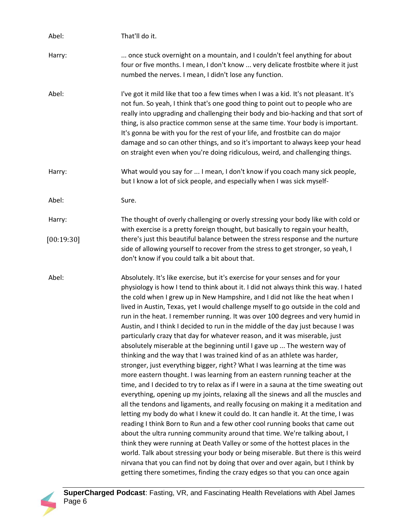| Abel:      | That'll do it.                                                                                                                                                                                                                                                                                                                                                                                                                                                                                                                                                                                                                                                                                                                                                                                                                                                                                                                                                                                                                                                                                                                                                                                                                                                                                                                                                                                                                                                                                                                                                                                                                                                                                                                                                                       |
|------------|--------------------------------------------------------------------------------------------------------------------------------------------------------------------------------------------------------------------------------------------------------------------------------------------------------------------------------------------------------------------------------------------------------------------------------------------------------------------------------------------------------------------------------------------------------------------------------------------------------------------------------------------------------------------------------------------------------------------------------------------------------------------------------------------------------------------------------------------------------------------------------------------------------------------------------------------------------------------------------------------------------------------------------------------------------------------------------------------------------------------------------------------------------------------------------------------------------------------------------------------------------------------------------------------------------------------------------------------------------------------------------------------------------------------------------------------------------------------------------------------------------------------------------------------------------------------------------------------------------------------------------------------------------------------------------------------------------------------------------------------------------------------------------------|
| Harry:     | once stuck overnight on a mountain, and I couldn't feel anything for about<br>four or five months. I mean, I don't know  very delicate frostbite where it just<br>numbed the nerves. I mean, I didn't lose any function.                                                                                                                                                                                                                                                                                                                                                                                                                                                                                                                                                                                                                                                                                                                                                                                                                                                                                                                                                                                                                                                                                                                                                                                                                                                                                                                                                                                                                                                                                                                                                             |
| Abel:      | I've got it mild like that too a few times when I was a kid. It's not pleasant. It's<br>not fun. So yeah, I think that's one good thing to point out to people who are<br>really into upgrading and challenging their body and bio-hacking and that sort of<br>thing, is also practice common sense at the same time. Your body is important.<br>It's gonna be with you for the rest of your life, and frostbite can do major<br>damage and so can other things, and so it's important to always keep your head<br>on straight even when you're doing ridiculous, weird, and challenging things.                                                                                                                                                                                                                                                                                                                                                                                                                                                                                                                                                                                                                                                                                                                                                                                                                                                                                                                                                                                                                                                                                                                                                                                     |
| Harry:     | What would you say for  I mean, I don't know if you coach many sick people,<br>but I know a lot of sick people, and especially when I was sick myself-                                                                                                                                                                                                                                                                                                                                                                                                                                                                                                                                                                                                                                                                                                                                                                                                                                                                                                                                                                                                                                                                                                                                                                                                                                                                                                                                                                                                                                                                                                                                                                                                                               |
| Abel:      | Sure.                                                                                                                                                                                                                                                                                                                                                                                                                                                                                                                                                                                                                                                                                                                                                                                                                                                                                                                                                                                                                                                                                                                                                                                                                                                                                                                                                                                                                                                                                                                                                                                                                                                                                                                                                                                |
| Harry:     | The thought of overly challenging or overly stressing your body like with cold or<br>with exercise is a pretty foreign thought, but basically to regain your health,                                                                                                                                                                                                                                                                                                                                                                                                                                                                                                                                                                                                                                                                                                                                                                                                                                                                                                                                                                                                                                                                                                                                                                                                                                                                                                                                                                                                                                                                                                                                                                                                                 |
| [00:19:30] | there's just this beautiful balance between the stress response and the nurture<br>side of allowing yourself to recover from the stress to get stronger, so yeah, I<br>don't know if you could talk a bit about that.                                                                                                                                                                                                                                                                                                                                                                                                                                                                                                                                                                                                                                                                                                                                                                                                                                                                                                                                                                                                                                                                                                                                                                                                                                                                                                                                                                                                                                                                                                                                                                |
| Abel:      | Absolutely. It's like exercise, but it's exercise for your senses and for your<br>physiology is how I tend to think about it. I did not always think this way. I hated<br>the cold when I grew up in New Hampshire, and I did not like the heat when I<br>lived in Austin, Texas, yet I would challenge myself to go outside in the cold and<br>run in the heat. I remember running. It was over 100 degrees and very humid in<br>Austin, and I think I decided to run in the middle of the day just because I was<br>particularly crazy that day for whatever reason, and it was miserable, just<br>absolutely miserable at the beginning until I gave up  The western way of<br>thinking and the way that I was trained kind of as an athlete was harder,<br>stronger, just everything bigger, right? What I was learning at the time was<br>more eastern thought. I was learning from an eastern running teacher at the<br>time, and I decided to try to relax as if I were in a sauna at the time sweating out<br>everything, opening up my joints, relaxing all the sinews and all the muscles and<br>all the tendons and ligaments, and really focusing on making it a meditation and<br>letting my body do what I knew it could do. It can handle it. At the time, I was<br>reading I think Born to Run and a few other cool running books that came out<br>about the ultra running community around that time. We're talking about, I<br>think they were running at Death Valley or some of the hottest places in the<br>world. Talk about stressing your body or being miserable. But there is this weird<br>nirvana that you can find not by doing that over and over again, but I think by<br>getting there sometimes, finding the crazy edges so that you can once again |

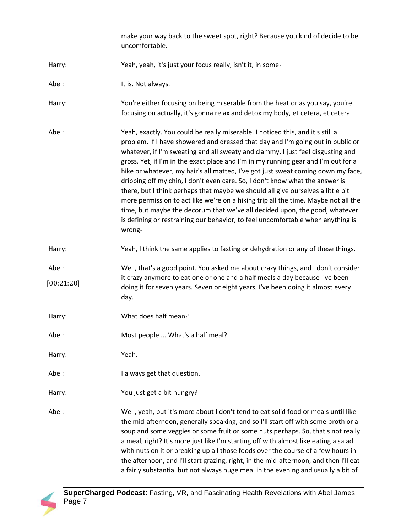|                     | make your way back to the sweet spot, right? Because you kind of decide to be<br>uncomfortable.                                                                                                                                                                                                                                                                                                                                                                                                                                                                                                                                                                                                                                                                                                                                                                     |
|---------------------|---------------------------------------------------------------------------------------------------------------------------------------------------------------------------------------------------------------------------------------------------------------------------------------------------------------------------------------------------------------------------------------------------------------------------------------------------------------------------------------------------------------------------------------------------------------------------------------------------------------------------------------------------------------------------------------------------------------------------------------------------------------------------------------------------------------------------------------------------------------------|
| Harry:              | Yeah, yeah, it's just your focus really, isn't it, in some-                                                                                                                                                                                                                                                                                                                                                                                                                                                                                                                                                                                                                                                                                                                                                                                                         |
| Abel:               | It is. Not always.                                                                                                                                                                                                                                                                                                                                                                                                                                                                                                                                                                                                                                                                                                                                                                                                                                                  |
| Harry:              | You're either focusing on being miserable from the heat or as you say, you're<br>focusing on actually, it's gonna relax and detox my body, et cetera, et cetera.                                                                                                                                                                                                                                                                                                                                                                                                                                                                                                                                                                                                                                                                                                    |
| Abel:               | Yeah, exactly. You could be really miserable. I noticed this, and it's still a<br>problem. If I have showered and dressed that day and I'm going out in public or<br>whatever, if I'm sweating and all sweaty and clammy, I just feel disgusting and<br>gross. Yet, if I'm in the exact place and I'm in my running gear and I'm out for a<br>hike or whatever, my hair's all matted, I've got just sweat coming down my face,<br>dripping off my chin, I don't even care. So, I don't know what the answer is<br>there, but I think perhaps that maybe we should all give ourselves a little bit<br>more permission to act like we're on a hiking trip all the time. Maybe not all the<br>time, but maybe the decorum that we've all decided upon, the good, whatever<br>is defining or restraining our behavior, to feel uncomfortable when anything is<br>wrong- |
| Harry:              | Yeah, I think the same applies to fasting or dehydration or any of these things.                                                                                                                                                                                                                                                                                                                                                                                                                                                                                                                                                                                                                                                                                                                                                                                    |
| Abel:<br>[00:21:20] | Well, that's a good point. You asked me about crazy things, and I don't consider<br>it crazy anymore to eat one or one and a half meals a day because I've been<br>doing it for seven years. Seven or eight years, I've been doing it almost every<br>day.                                                                                                                                                                                                                                                                                                                                                                                                                                                                                                                                                                                                          |
| Harry:              | What does half mean?                                                                                                                                                                                                                                                                                                                                                                                                                                                                                                                                                                                                                                                                                                                                                                                                                                                |
| Abel:               | Most people  What's a half meal?                                                                                                                                                                                                                                                                                                                                                                                                                                                                                                                                                                                                                                                                                                                                                                                                                                    |
| Harry:              | Yeah.                                                                                                                                                                                                                                                                                                                                                                                                                                                                                                                                                                                                                                                                                                                                                                                                                                                               |
| Abel:               | I always get that question.                                                                                                                                                                                                                                                                                                                                                                                                                                                                                                                                                                                                                                                                                                                                                                                                                                         |
| Harry:              | You just get a bit hungry?                                                                                                                                                                                                                                                                                                                                                                                                                                                                                                                                                                                                                                                                                                                                                                                                                                          |
| Abel:               | Well, yeah, but it's more about I don't tend to eat solid food or meals until like<br>the mid-afternoon, generally speaking, and so I'll start off with some broth or a<br>soup and some veggies or some fruit or some nuts perhaps. So, that's not really<br>a meal, right? It's more just like I'm starting off with almost like eating a salad<br>with nuts on it or breaking up all those foods over the course of a few hours in<br>the afternoon, and I'll start grazing, right, in the mid-afternoon, and then I'll eat<br>a fairly substantial but not always huge meal in the evening and usually a bit of                                                                                                                                                                                                                                                 |

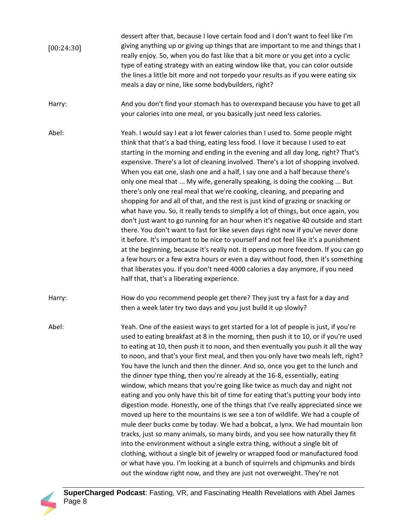dessert after that, because I love certain food and I don't want to feel like I'm giving anything up or giving up things that are important to me and things that I really enjoy. So, when you do fast like that a bit more or you get into a cyclic type of eating strategy with an eating window like that, you can color outside the lines a little bit more and not torpedo your results as if you were eating six meals a day or nine, like some bodybuilders, right? [00:24:30]

Harry: And you don't find your stomach has to overexpand because you have to get all your calories into one meal, or you basically just need less calories.

Abel: Yeah. I would say I eat a lot fewer calories than I used to. Some people might think that that's a bad thing, eating less food. I love it because I used to eat starting in the morning and ending in the evening and all day long, right? That's expensive. There's a lot of cleaning involved. There's a lot of shopping involved. When you eat one, slash one and a half, I say one and a half because there's only one meal that ... My wife, generally speaking, is doing the cooking ... But there's only one real meal that we're cooking, cleaning, and preparing and shopping for and all of that, and the rest is just kind of grazing or snacking or what have you. So, it really tends to simplify a lot of things, but once again, you don't just want to go running for an hour when it's negative 40 outside and start there. You don't want to fast for like seven days right now if you've never done it before. It's important to be nice to yourself and not feel like it's a punishment at the beginning, because it's really not. It opens up more freedom. If you can go a few hours or a few extra hours or even a day without food, then it's something that liberates you. If you don't need 4000 calories a day anymore, if you need half that, that's a liberating experience.

Harry: How do you recommend people get there? They just try a fast for a day and then a week later try two days and you just build it up slowly?

Abel: Yeah. One of the easiest ways to get started for a lot of people is just, if you're used to eating breakfast at 8 in the morning, then push it to 10, or if you're used to eating at 10, then push it to noon, and then eventually you push it all the way to noon, and that's your first meal, and then you only have two meals left, right? You have the lunch and then the dinner. And so, once you get to the lunch and the dinner type thing, then you're already at the 16-8, essentially, eating window, which means that you're going like twice as much day and night not eating and you only have this bit of time for eating that's putting your body into digestion mode. Honestly, one of the things that I've really appreciated since we moved up here to the mountains is we see a ton of wildlife. We had a couple of mule deer bucks come by today. We had a bobcat, a lynx. We had mountain lion tracks, just so many animals, so many birds, and you see how naturally they fit into the environment without a single extra thing, without a single bit of clothing, without a single bit of jewelry or wrapped food or manufactured food or what have you. I'm looking at a bunch of squirrels and chipmunks and birds out the window right now, and they are just not overweight. They're not

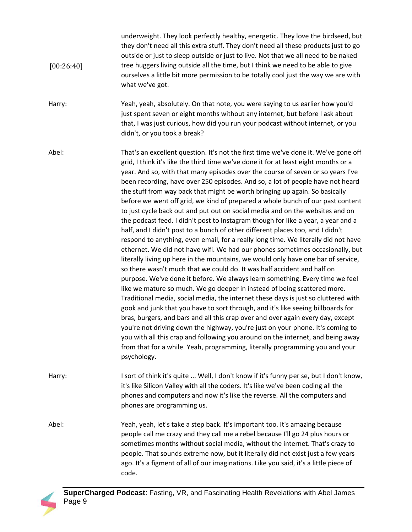| [00:26:40] | underweight. They look perfectly healthy, energetic. They love the birdseed, but<br>they don't need all this extra stuff. They don't need all these products just to go<br>outside or just to sleep outside or just to live. Not that we all need to be naked<br>tree huggers living outside all the time, but I think we need to be able to give<br>ourselves a little bit more permission to be totally cool just the way we are with<br>what we've got. |
|------------|------------------------------------------------------------------------------------------------------------------------------------------------------------------------------------------------------------------------------------------------------------------------------------------------------------------------------------------------------------------------------------------------------------------------------------------------------------|
| Harry:     | Yeah, yeah, absolutely. On that note, you were saying to us earlier how you'd<br>just spent seven or eight months without any internet, but before I ask about<br>that, I was just curious, how did you run your podcast without internet, or you<br>didn't, or you took a break?                                                                                                                                                                          |

Abel: That's an excellent question. It's not the first time we've done it. We've gone off grid, I think it's like the third time we've done it for at least eight months or a year. And so, with that many episodes over the course of seven or so years I've been recording, have over 250 episodes. And so, a lot of people have not heard the stuff from way back that might be worth bringing up again. So basically before we went off grid, we kind of prepared a whole bunch of our past content to just cycle back out and put out on social media and on the websites and on the podcast feed. I didn't post to Instagram though for like a year, a year and a half, and I didn't post to a bunch of other different places too, and I didn't respond to anything, even email, for a really long time. We literally did not have ethernet. We did not have wifi. We had our phones sometimes occasionally, but literally living up here in the mountains, we would only have one bar of service, so there wasn't much that we could do. It was half accident and half on purpose. We've done it before. We always learn something. Every time we feel like we mature so much. We go deeper in instead of being scattered more. Traditional media, social media, the internet these days is just so cluttered with gook and junk that you have to sort through, and it's like seeing billboards for bras, burgers, and bars and all this crap over and over again every day, except you're not driving down the highway, you're just on your phone. It's coming to you with all this crap and following you around on the internet, and being away from that for a while. Yeah, programming, literally programming you and your psychology.

Harry: I sort of think it's quite ... Well, I don't know if it's funny per se, but I don't know, it's like Silicon Valley with all the coders. It's like we've been coding all the phones and computers and now it's like the reverse. All the computers and phones are programming us.

Abel: Yeah, yeah, let's take a step back. It's important too. It's amazing because people call me crazy and they call me a rebel because I'll go 24 plus hours or sometimes months without social media, without the internet. That's crazy to people. That sounds extreme now, but it literally did not exist just a few years ago. It's a figment of all of our imaginations. Like you said, it's a little piece of code.

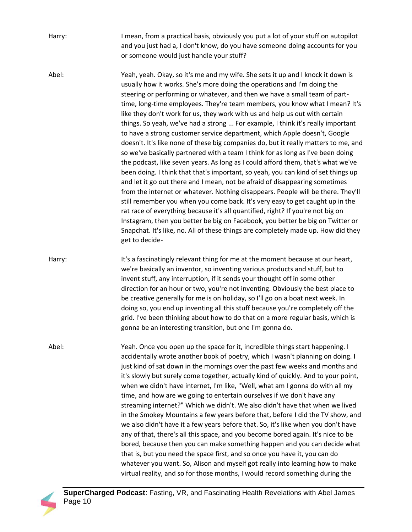Harry: I mean, from a practical basis, obviously you put a lot of your stuff on autopilot and you just had a, I don't know, do you have someone doing accounts for you or someone would just handle your stuff?

Abel: Yeah, yeah. Okay, so it's me and my wife. She sets it up and I knock it down is usually how it works. She's more doing the operations and I'm doing the steering or performing or whatever, and then we have a small team of parttime, long-time employees. They're team members, you know what I mean? It's like they don't work for us, they work with us and help us out with certain things. So yeah, we've had a strong ... For example, I think it's really important to have a strong customer service department, which Apple doesn't, Google doesn't. It's like none of these big companies do, but it really matters to me, and so we've basically partnered with a team I think for as long as I've been doing the podcast, like seven years. As long as I could afford them, that's what we've been doing. I think that that's important, so yeah, you can kind of set things up and let it go out there and I mean, not be afraid of disappearing sometimes from the internet or whatever. Nothing disappears. People will be there. They'll still remember you when you come back. It's very easy to get caught up in the rat race of everything because it's all quantified, right? If you're not big on Instagram, then you better be big on Facebook, you better be big on Twitter or Snapchat. It's like, no. All of these things are completely made up. How did they get to decide-

Harry: It's a fascinatingly relevant thing for me at the moment because at our heart, we're basically an inventor, so inventing various products and stuff, but to invent stuff, any interruption, if it sends your thought off in some other direction for an hour or two, you're not inventing. Obviously the best place to be creative generally for me is on holiday, so I'll go on a boat next week. In doing so, you end up inventing all this stuff because you're completely off the grid. I've been thinking about how to do that on a more regular basis, which is gonna be an interesting transition, but one I'm gonna do.

Abel: Yeah. Once you open up the space for it, incredible things start happening. I accidentally wrote another book of poetry, which I wasn't planning on doing. I just kind of sat down in the mornings over the past few weeks and months and it's slowly but surely come together, actually kind of quickly. And to your point, when we didn't have internet, I'm like, "Well, what am I gonna do with all my time, and how are we going to entertain ourselves if we don't have any streaming internet?" Which we didn't. We also didn't have that when we lived in the Smokey Mountains a few years before that, before I did the TV show, and we also didn't have it a few years before that. So, it's like when you don't have any of that, there's all this space, and you become bored again. It's nice to be bored, because then you can make something happen and you can decide what that is, but you need the space first, and so once you have it, you can do whatever you want. So, Alison and myself got really into learning how to make virtual reality, and so for those months, I would record something during the

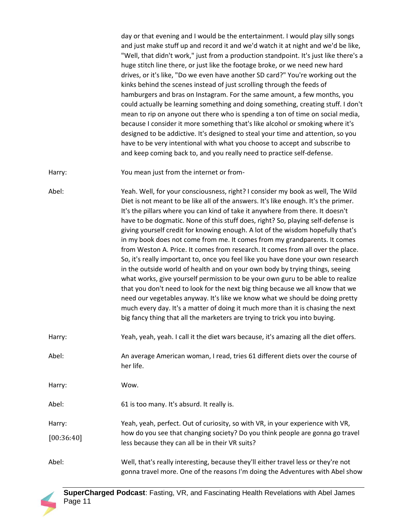day or that evening and I would be the entertainment. I would play silly songs and just make stuff up and record it and we'd watch it at night and we'd be like, "Well, that didn't work," just from a production standpoint. It's just like there's a huge stitch line there, or just like the footage broke, or we need new hard drives, or it's like, "Do we even have another SD card?" You're working out the kinks behind the scenes instead of just scrolling through the feeds of hamburgers and bras on Instagram. For the same amount, a few months, you could actually be learning something and doing something, creating stuff. I don't mean to rip on anyone out there who is spending a ton of time on social media, because I consider it more something that's like alcohol or smoking where it's designed to be addictive. It's designed to steal your time and attention, so you have to be very intentional with what you choose to accept and subscribe to and keep coming back to, and you really need to practice self-defense.

Harry: You mean just from the internet or from-

Abel: Yeah. Well, for your consciousness, right? I consider my book as well, The Wild Diet is not meant to be like all of the answers. It's like enough. It's the primer. It's the pillars where you can kind of take it anywhere from there. It doesn't have to be dogmatic. None of this stuff does, right? So, playing self-defense is giving yourself credit for knowing enough. A lot of the wisdom hopefully that's in my book does not come from me. It comes from my grandparents. It comes from Weston A. Price. It comes from research. It comes from all over the place. So, it's really important to, once you feel like you have done your own research in the outside world of health and on your own body by trying things, seeing what works, give yourself permission to be your own guru to be able to realize that you don't need to look for the next big thing because we all know that we need our vegetables anyway. It's like we know what we should be doing pretty much every day. It's a matter of doing it much more than it is chasing the next big fancy thing that all the marketers are trying to trick you into buying.

Harry: Yeah, yeah, yeah. I call it the diet wars because, it's amazing all the diet offers.

Abel: An average American woman, I read, tries 61 different diets over the course of her life.

Harry: Wow.

Abel: 61 is too many. It's absurd. It really is.

- Harry: Yeah, yeah, perfect. Out of curiosity, so with VR, in your experience with VR, how do you see that changing society? Do you think people are gonna go travel less because they can all be in their VR suits? [00:36:40]
- Abel: Well, that's really interesting, because they'll either travel less or they're not gonna travel more. One of the reasons I'm doing the Adventures with Abel show

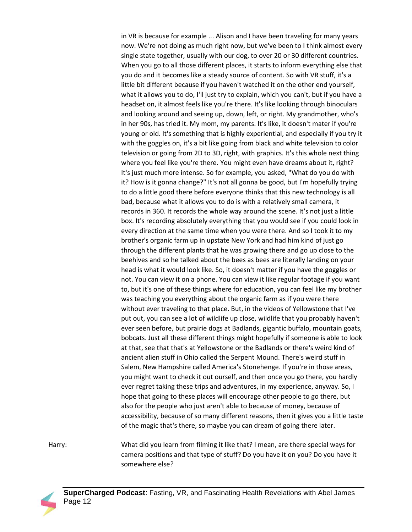in VR is because for example ... Alison and I have been traveling for many years now. We're not doing as much right now, but we've been to I think almost every single state together, usually with our dog, to over 20 or 30 different countries. When you go to all those different places, it starts to inform everything else that you do and it becomes like a steady source of content. So with VR stuff, it's a little bit different because if you haven't watched it on the other end yourself, what it allows you to do, I'll just try to explain, which you can't, but if you have a headset on, it almost feels like you're there. It's like looking through binoculars and looking around and seeing up, down, left, or right. My grandmother, who's in her 90s, has tried it. My mom, my parents. It's like, it doesn't mater if you're young or old. It's something that is highly experiential, and especially if you try it with the goggles on, it's a bit like going from black and white television to color television or going from 2D to 3D, right, with graphics. It's this whole next thing where you feel like you're there. You might even have dreams about it, right? It's just much more intense. So for example, you asked, "What do you do with it? How is it gonna change?" It's not all gonna be good, but I'm hopefully trying to do a little good there before everyone thinks that this new technology is all bad, because what it allows you to do is with a relatively small camera, it records in 360. It records the whole way around the scene. It's not just a little box. It's recording absolutely everything that you would see if you could look in every direction at the same time when you were there. And so I took it to my brother's organic farm up in upstate New York and had him kind of just go through the different plants that he was growing there and go up close to the beehives and so he talked about the bees as bees are literally landing on your head is what it would look like. So, it doesn't matter if you have the goggles or not. You can view it on a phone. You can view it like regular footage if you want to, but it's one of these things where for education, you can feel like my brother was teaching you everything about the organic farm as if you were there without ever traveling to that place. But, in the videos of Yellowstone that I've put out, you can see a lot of wildlife up close, wildlife that you probably haven't ever seen before, but prairie dogs at Badlands, gigantic buffalo, mountain goats, bobcats. Just all these different things might hopefully if someone is able to look at that, see that that's at Yellowstone or the Badlands or there's weird kind of ancient alien stuff in Ohio called the Serpent Mound. There's weird stuff in Salem, New Hampshire called America's Stonehenge. If you're in those areas, you might want to check it out ourself, and then once you go there, you hardly ever regret taking these trips and adventures, in my experience, anyway. So, I hope that going to these places will encourage other people to go there, but also for the people who just aren't able to because of money, because of accessibility, because of so many different reasons, then it gives you a little taste of the magic that's there, so maybe you can dream of going there later.

Harry: What did you learn from filming it like that? I mean, are there special ways for camera positions and that type of stuff? Do you have it on you? Do you have it somewhere else?

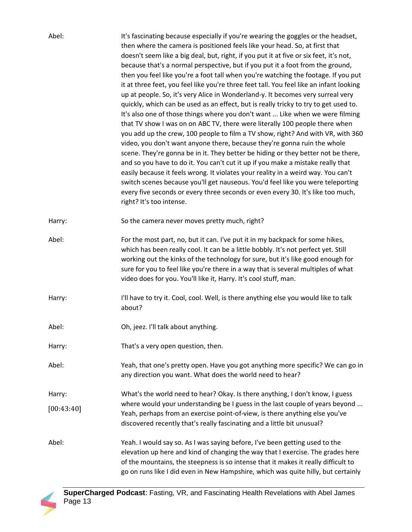| Abel:                | It's fascinating because especially if you're wearing the goggles or the headset,<br>then where the camera is positioned feels like your head. So, at first that<br>doesn't seem like a big deal, but, right, if you put it at five or six feet, it's not,<br>because that's a normal perspective, but if you put it a foot from the ground,<br>then you feel like you're a foot tall when you're watching the footage. If you put<br>it at three feet, you feel like you're three feet tall. You feel like an infant looking<br>up at people. So, it's very Alice in Wonderland-y. It becomes very surreal very<br>quickly, which can be used as an effect, but is really tricky to try to get used to.<br>It's also one of those things where you don't want  Like when we were filming<br>that TV show I was on on ABC TV, there were literally 100 people there when<br>you add up the crew, 100 people to film a TV show, right? And with VR, with 360<br>video, you don't want anyone there, because they're gonna ruin the whole<br>scene. They're gonna be in it. They better be hiding or they better not be there,<br>and so you have to do it. You can't cut it up if you make a mistake really that<br>easily because it feels wrong. It violates your reality in a weird way. You can't<br>switch scenes because you'll get nauseous. You'd feel like you were teleporting<br>every five seconds or every three seconds or even every 30. It's like too much,<br>right? It's too intense. |
|----------------------|--------------------------------------------------------------------------------------------------------------------------------------------------------------------------------------------------------------------------------------------------------------------------------------------------------------------------------------------------------------------------------------------------------------------------------------------------------------------------------------------------------------------------------------------------------------------------------------------------------------------------------------------------------------------------------------------------------------------------------------------------------------------------------------------------------------------------------------------------------------------------------------------------------------------------------------------------------------------------------------------------------------------------------------------------------------------------------------------------------------------------------------------------------------------------------------------------------------------------------------------------------------------------------------------------------------------------------------------------------------------------------------------------------------------------------------------------------------------------------------------------------|
| Harry:               | So the camera never moves pretty much, right?                                                                                                                                                                                                                                                                                                                                                                                                                                                                                                                                                                                                                                                                                                                                                                                                                                                                                                                                                                                                                                                                                                                                                                                                                                                                                                                                                                                                                                                          |
| Abel:                | For the most part, no, but it can. I've put it in my backpack for some hikes,<br>which has been really cool. It can be a little bobbly. It's not perfect yet. Still<br>working out the kinks of the technology for sure, but it's like good enough for<br>sure for you to feel like you're there in a way that is several multiples of what<br>video does for you. You'll like it, Harry. It's cool stuff, man.                                                                                                                                                                                                                                                                                                                                                                                                                                                                                                                                                                                                                                                                                                                                                                                                                                                                                                                                                                                                                                                                                        |
| Harry:               | I'll have to try it. Cool, cool. Well, is there anything else you would like to talk<br>about?                                                                                                                                                                                                                                                                                                                                                                                                                                                                                                                                                                                                                                                                                                                                                                                                                                                                                                                                                                                                                                                                                                                                                                                                                                                                                                                                                                                                         |
| Abel:                | Oh, jeez. I'll talk about anything.                                                                                                                                                                                                                                                                                                                                                                                                                                                                                                                                                                                                                                                                                                                                                                                                                                                                                                                                                                                                                                                                                                                                                                                                                                                                                                                                                                                                                                                                    |
| Harry:               | That's a very open question, then.                                                                                                                                                                                                                                                                                                                                                                                                                                                                                                                                                                                                                                                                                                                                                                                                                                                                                                                                                                                                                                                                                                                                                                                                                                                                                                                                                                                                                                                                     |
| Abel:                | Yeah, that one's pretty open. Have you got anything more specific? We can go in<br>any direction you want. What does the world need to hear?                                                                                                                                                                                                                                                                                                                                                                                                                                                                                                                                                                                                                                                                                                                                                                                                                                                                                                                                                                                                                                                                                                                                                                                                                                                                                                                                                           |
| Harry:<br>[00:43:40] | What's the world need to hear? Okay. Is there anything, I don't know, I guess<br>where would your understanding be I guess in the last couple of years beyond<br>Yeah, perhaps from an exercise point-of-view, is there anything else you've<br>discovered recently that's really fascinating and a little bit unusual?                                                                                                                                                                                                                                                                                                                                                                                                                                                                                                                                                                                                                                                                                                                                                                                                                                                                                                                                                                                                                                                                                                                                                                                |
| Abel:                | Yeah. I would say so. As I was saying before, I've been getting used to the<br>elevation up here and kind of changing the way that I exercise. The grades here<br>of the mountains, the steepness is so intense that it makes it really difficult to<br>go on runs like I did even in New Hampshire, which was quite hilly, but certainly                                                                                                                                                                                                                                                                                                                                                                                                                                                                                                                                                                                                                                                                                                                                                                                                                                                                                                                                                                                                                                                                                                                                                              |

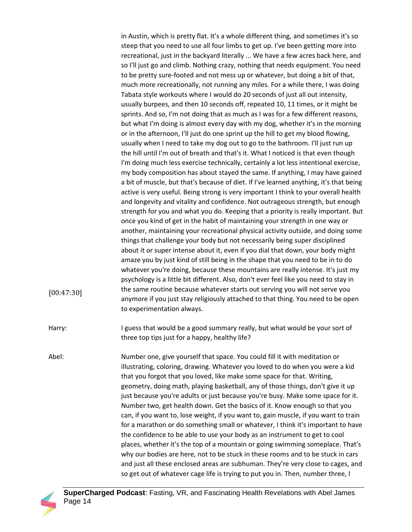in Austin, which is pretty flat. It's a whole different thing, and sometimes it's so steep that you need to use all four limbs to get up. I've been getting more into recreational, just in the backyard literally ... We have a few acres back here, and so I'll just go and climb. Nothing crazy, nothing that needs equipment. You need to be pretty sure-footed and not mess up or whatever, but doing a bit of that, much more recreationally, not running any miles. For a while there, I was doing Tabata style workouts where I would do 20 seconds of just all out intensity, usually burpees, and then 10 seconds off, repeated 10, 11 times, or it might be sprints. And so, I'm not doing that as much as I was for a few different reasons, but what I'm doing is almost every day with my dog, whether it's in the morning or in the afternoon, I'll just do one sprint up the hill to get my blood flowing, usually when I need to take my dog out to go to the bathroom. I'll just run up the hill until I'm out of breath and that's it. What I noticed is that even though I'm doing much less exercise technically, certainly a lot less intentional exercise, my body composition has about stayed the same. If anything, I may have gained a bit of muscle, but that's because of diet. If I've learned anything, it's that being active is very useful. Being strong is very important I think to your overall health and longevity and vitality and confidence. Not outrageous strength, but enough strength for you and what you do. Keeping that a priority is really important. But once you kind of get in the habit of maintaining your strength in one way or another, maintaining your recreational physical activity outside, and doing some things that challenge your body but not necessarily being super disciplined about it or super intense about it, even if you dial that down, your body might amaze you by just kind of still being in the shape that you need to be in to do whatever you're doing, because these mountains are really intense. It's just my psychology is a little bit different. Also, don't ever feel like you need to stay in the same routine because whatever starts out serving you will not serve you anymore if you just stay religiously attached to that thing. You need to be open to experimentation always. Harry: I guess that would be a good summary really, but what would be your sort of three top tips just for a happy, healthy life?

Abel: Number one, give yourself that space. You could fill it with meditation or illustrating, coloring, drawing. Whatever you loved to do when you were a kid that you forgot that you loved, like make some space for that. Writing, geometry, doing math, playing basketball, any of those things, don't give it up just because you're adults or just because you're busy. Make some space for it. Number two, get health down. Get the basics of it. Know enough so that you can, if you want to, lose weight, if you want to, gain muscle, if you want to train for a marathon or do something small or whatever, I think it's important to have the confidence to be able to use your body as an instrument to get to cool places, whether it's the top of a mountain or going swimming someplace. That's why our bodies are here, not to be stuck in these rooms and to be stuck in cars and just all these enclosed areas are subhuman. They're very close to cages, and so get out of whatever cage life is trying to put you in. Then, number three, I



[00:47:30]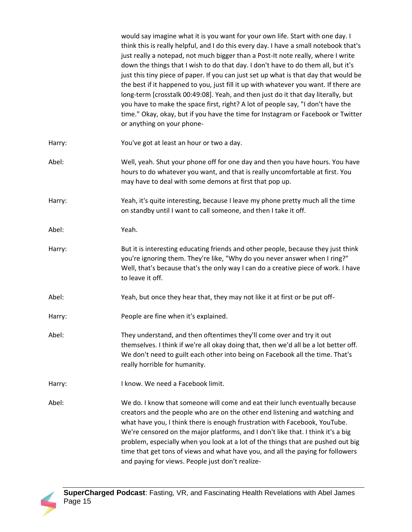|        | would say imagine what it is you want for your own life. Start with one day. I<br>think this is really helpful, and I do this every day. I have a small notebook that's<br>just really a notepad, not much bigger than a Post-It note really, where I write<br>down the things that I wish to do that day. I don't have to do them all, but it's<br>just this tiny piece of paper. If you can just set up what is that day that would be<br>the best if it happened to you, just fill it up with whatever you want. If there are<br>long-term [crosstalk 00:49:08]. Yeah, and then just do it that day literally, but<br>you have to make the space first, right? A lot of people say, "I don't have the<br>time." Okay, okay, but if you have the time for Instagram or Facebook or Twitter<br>or anything on your phone- |
|--------|----------------------------------------------------------------------------------------------------------------------------------------------------------------------------------------------------------------------------------------------------------------------------------------------------------------------------------------------------------------------------------------------------------------------------------------------------------------------------------------------------------------------------------------------------------------------------------------------------------------------------------------------------------------------------------------------------------------------------------------------------------------------------------------------------------------------------|
| Harry: | You've got at least an hour or two a day.                                                                                                                                                                                                                                                                                                                                                                                                                                                                                                                                                                                                                                                                                                                                                                                  |
| Abel:  | Well, yeah. Shut your phone off for one day and then you have hours. You have<br>hours to do whatever you want, and that is really uncomfortable at first. You<br>may have to deal with some demons at first that pop up.                                                                                                                                                                                                                                                                                                                                                                                                                                                                                                                                                                                                  |
| Harry: | Yeah, it's quite interesting, because I leave my phone pretty much all the time<br>on standby until I want to call someone, and then I take it off.                                                                                                                                                                                                                                                                                                                                                                                                                                                                                                                                                                                                                                                                        |
| Abel:  | Yeah.                                                                                                                                                                                                                                                                                                                                                                                                                                                                                                                                                                                                                                                                                                                                                                                                                      |
| Harry: | But it is interesting educating friends and other people, because they just think<br>you're ignoring them. They're like, "Why do you never answer when I ring?"<br>Well, that's because that's the only way I can do a creative piece of work. I have<br>to leave it off.                                                                                                                                                                                                                                                                                                                                                                                                                                                                                                                                                  |
| Abel:  | Yeah, but once they hear that, they may not like it at first or be put off-                                                                                                                                                                                                                                                                                                                                                                                                                                                                                                                                                                                                                                                                                                                                                |
| Harry: | People are fine when it's explained.                                                                                                                                                                                                                                                                                                                                                                                                                                                                                                                                                                                                                                                                                                                                                                                       |
| Abel:  | They understand, and then oftentimes they'll come over and try it out<br>themselves. I think if we're all okay doing that, then we'd all be a lot better off.<br>We don't need to guilt each other into being on Facebook all the time. That's<br>really horrible for humanity.                                                                                                                                                                                                                                                                                                                                                                                                                                                                                                                                            |
| Harry: | I know. We need a Facebook limit.                                                                                                                                                                                                                                                                                                                                                                                                                                                                                                                                                                                                                                                                                                                                                                                          |
| Abel:  | We do. I know that someone will come and eat their lunch eventually because<br>creators and the people who are on the other end listening and watching and<br>what have you, I think there is enough frustration with Facebook, YouTube.<br>We're censored on the major platforms, and I don't like that. I think it's a big<br>problem, especially when you look at a lot of the things that are pushed out big<br>time that get tons of views and what have you, and all the paying for followers<br>and paying for views. People just don't realize-                                                                                                                                                                                                                                                                    |

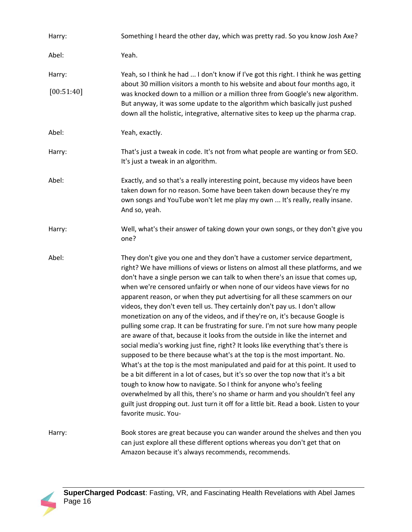| Harry:     | Something I heard the other day, which was pretty rad. So you know Josh Axe?                                                                                                                                                                                                                                                                                                                                                                                                                                                                                                                                                                                                                                                                                                                                                                                                                                                                                                                                                                                                                                                                                                                                                                                                                                                                                          |
|------------|-----------------------------------------------------------------------------------------------------------------------------------------------------------------------------------------------------------------------------------------------------------------------------------------------------------------------------------------------------------------------------------------------------------------------------------------------------------------------------------------------------------------------------------------------------------------------------------------------------------------------------------------------------------------------------------------------------------------------------------------------------------------------------------------------------------------------------------------------------------------------------------------------------------------------------------------------------------------------------------------------------------------------------------------------------------------------------------------------------------------------------------------------------------------------------------------------------------------------------------------------------------------------------------------------------------------------------------------------------------------------|
| Abel:      | Yeah.                                                                                                                                                                                                                                                                                                                                                                                                                                                                                                                                                                                                                                                                                                                                                                                                                                                                                                                                                                                                                                                                                                                                                                                                                                                                                                                                                                 |
| Harry:     | Yeah, so I think he had  I don't know if I've got this right. I think he was getting<br>about 30 million visitors a month to his website and about four months ago, it                                                                                                                                                                                                                                                                                                                                                                                                                                                                                                                                                                                                                                                                                                                                                                                                                                                                                                                                                                                                                                                                                                                                                                                                |
| [00:51:40] | was knocked down to a million or a million three from Google's new algorithm.<br>But anyway, it was some update to the algorithm which basically just pushed<br>down all the holistic, integrative, alternative sites to keep up the pharma crap.                                                                                                                                                                                                                                                                                                                                                                                                                                                                                                                                                                                                                                                                                                                                                                                                                                                                                                                                                                                                                                                                                                                     |
| Abel:      | Yeah, exactly.                                                                                                                                                                                                                                                                                                                                                                                                                                                                                                                                                                                                                                                                                                                                                                                                                                                                                                                                                                                                                                                                                                                                                                                                                                                                                                                                                        |
| Harry:     | That's just a tweak in code. It's not from what people are wanting or from SEO.<br>It's just a tweak in an algorithm.                                                                                                                                                                                                                                                                                                                                                                                                                                                                                                                                                                                                                                                                                                                                                                                                                                                                                                                                                                                                                                                                                                                                                                                                                                                 |
| Abel:      | Exactly, and so that's a really interesting point, because my videos have been<br>taken down for no reason. Some have been taken down because they're my<br>own songs and YouTube won't let me play my own  It's really, really insane.<br>And so, yeah.                                                                                                                                                                                                                                                                                                                                                                                                                                                                                                                                                                                                                                                                                                                                                                                                                                                                                                                                                                                                                                                                                                              |
| Harry:     | Well, what's their answer of taking down your own songs, or they don't give you<br>one?                                                                                                                                                                                                                                                                                                                                                                                                                                                                                                                                                                                                                                                                                                                                                                                                                                                                                                                                                                                                                                                                                                                                                                                                                                                                               |
| Abel:      | They don't give you one and they don't have a customer service department,<br>right? We have millions of views or listens on almost all these platforms, and we<br>don't have a single person we can talk to when there's an issue that comes up,<br>when we're censored unfairly or when none of our videos have views for no<br>apparent reason, or when they put advertising for all these scammers on our<br>videos, they don't even tell us. They certainly don't pay us. I don't allow<br>monetization on any of the videos, and if they're on, it's because Google is<br>pulling some crap. It can be frustrating for sure. I'm not sure how many people<br>are aware of that, because it looks from the outside in like the internet and<br>social media's working just fine, right? It looks like everything that's there is<br>supposed to be there because what's at the top is the most important. No.<br>What's at the top is the most manipulated and paid for at this point. It used to<br>be a bit different in a lot of cases, but it's so over the top now that it's a bit<br>tough to know how to navigate. So I think for anyone who's feeling<br>overwhelmed by all this, there's no shame or harm and you shouldn't feel any<br>guilt just dropping out. Just turn it off for a little bit. Read a book. Listen to your<br>favorite music. You- |
| Harry:     | Book stores are great because you can wander around the shelves and then you<br>can just explore all these different options whereas you don't get that on<br>Amazon because it's always recommends, recommends.                                                                                                                                                                                                                                                                                                                                                                                                                                                                                                                                                                                                                                                                                                                                                                                                                                                                                                                                                                                                                                                                                                                                                      |